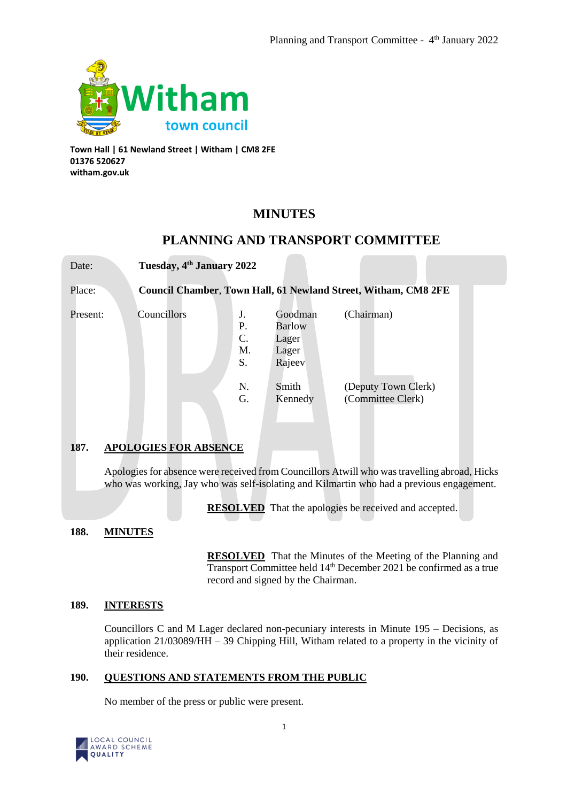

**Town Hall | 61 Newland Street | Witham | CM8 2FE 01376 520627 witham.gov.uk**

# **MINUTES**

## **PLANNING AND TRANSPORT COMMITTEE**

Date: **Tuesday, 4th January 2022** Place: **Council Chamber**, **Town Hall, 61 Newland Street, Witham, CM8 2FE** Present: Councillors J. Goodman (Chairman) P. Barlow C. Lager M. Lager S. Rajeev N. Smith (Deputy Town Clerk) G. Kennedy (Committee Clerk) **187. APOLOGIES FOR ABSENCE**

Apologies for absence were received from Councillors Atwill who was travelling abroad, Hicks who was working, Jay who was self-isolating and Kilmartin who had a previous engagement.

**RESOLVED** That the apologies be received and accepted.

## **188. MINUTES**

**RESOLVED** That the Minutes of the Meeting of the Planning and Transport Committee held 14th December 2021 be confirmed as a true record and signed by the Chairman.

## **189. INTERESTS**

Councillors C and M Lager declared non-pecuniary interests in Minute 195 – Decisions, as application 21/03089/HH – 39 Chipping Hill, Witham related to a property in the vicinity of their residence.

## **190. QUESTIONS AND STATEMENTS FROM THE PUBLIC**

No member of the press or public were present.

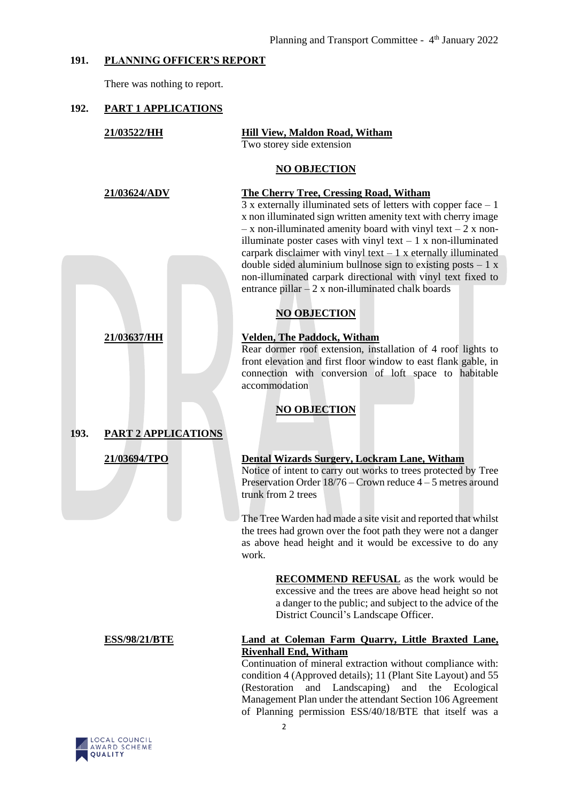## **191. PLANNING OFFICER'S REPORT**

There was nothing to report.

## **192. PART 1 APPLICATIONS**

|      | 21/03522/HH                | <b>Hill View, Maldon Road, Witham</b><br>Two storey side extension                                                                                                                                                                                                                                                                                                                                                   |
|------|----------------------------|----------------------------------------------------------------------------------------------------------------------------------------------------------------------------------------------------------------------------------------------------------------------------------------------------------------------------------------------------------------------------------------------------------------------|
|      |                            | <b>NO OBJECTION</b>                                                                                                                                                                                                                                                                                                                                                                                                  |
|      | 21/03624/ADV               | <b>The Cherry Tree, Cressing Road, Witham</b><br>$3x$ externally illuminated sets of letters with copper face $-1$<br>x non illuminated sign written amenity text with cherry image<br>$- x$ non-illuminated amenity board with vinyl text $- 2 x$ non-<br>illuminate poster cases with vinyl text $-1 x$ non-illuminated<br>carpark disclaimer with vinyl text $-1$ x eternally illuminated                         |
|      |                            | double sided aluminium bullnose sign to existing posts $-1 x$<br>non-illuminated carpark directional with vinyl text fixed to<br>entrance pillar $-2x$ non-illuminated chalk boards                                                                                                                                                                                                                                  |
|      |                            | <b>NO OBJECTION</b>                                                                                                                                                                                                                                                                                                                                                                                                  |
|      | 21/03637/HH                | <b>Velden, The Paddock, Witham</b><br>Rear dormer roof extension, installation of 4 roof lights to<br>front elevation and first floor window to east flank gable, in<br>connection with conversion of loft space to habitable<br>accommodation<br><b>NO OBJECTION</b>                                                                                                                                                |
| 193. | <b>PART 2 APPLICATIONS</b> |                                                                                                                                                                                                                                                                                                                                                                                                                      |
|      | 21/03694/TPO               | <b>Dental Wizards Surgery, Lockram Lane, Witham</b><br>Notice of intent to carry out works to trees protected by Tree<br>Preservation Order $18/76$ – Crown reduce $4-5$ metres around<br>trunk from 2 trees                                                                                                                                                                                                         |
|      |                            | The Tree Warden had made a site visit and reported that whilst<br>the trees had grown over the foot path they were not a danger<br>as above head height and it would be excessive to do any<br>work.                                                                                                                                                                                                                 |
|      |                            | <b>RECOMMEND REFUSAL</b> as the work would be<br>excessive and the trees are above head height so not<br>a danger to the public; and subject to the advice of the<br>District Council's Landscape Officer.                                                                                                                                                                                                           |
|      | <b>ESS/98/21/BTE</b>       | Land at Coleman Farm Quarry, Little Braxted Lane,<br><b>Rivenhall End, Witham</b><br>Continuation of mineral extraction without compliance with:<br>condition 4 (Approved details); 11 (Plant Site Layout) and 55<br>(Restoration<br>and Landscaping)<br>and the Ecological<br>Management Plan under the attendant Section 106 Agreement<br>of Planning permission ESS/40/18/BTE that itself was a<br>$\overline{2}$ |

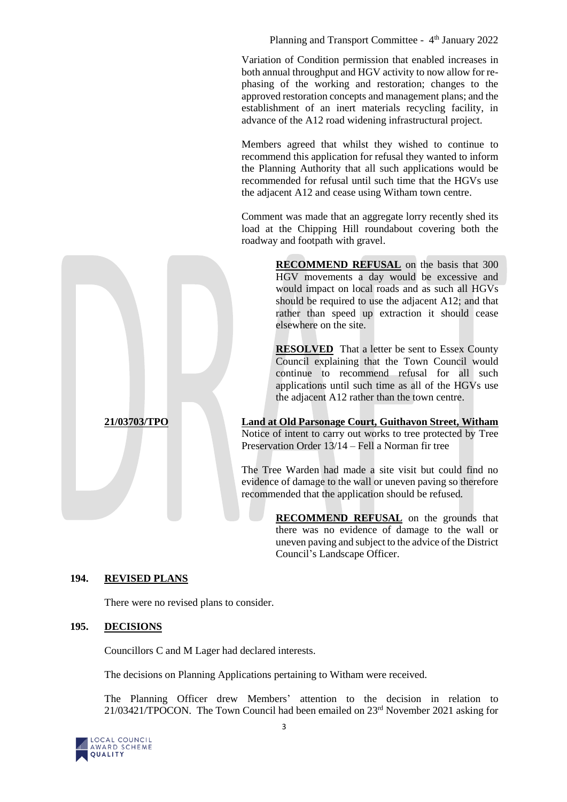Planning and Transport Committee - 4<sup>th</sup> January 2022

Variation of Condition permission that enabled increases in both annual throughput and HGV activity to now allow for rephasing of the working and restoration; changes to the approved restoration concepts and management plans; and the establishment of an inert materials recycling facility, in advance of the A12 road widening infrastructural project.

Members agreed that whilst they wished to continue to recommend this application for refusal they wanted to inform the Planning Authority that all such applications would be recommended for refusal until such time that the HGVs use the adjacent A12 and cease using Witham town centre.

Comment was made that an aggregate lorry recently shed its load at the Chipping Hill roundabout covering both the roadway and footpath with gravel.

> **RECOMMEND REFUSAL** on the basis that 300 HGV movements a day would be excessive and would impact on local roads and as such all HGVs should be required to use the adjacent A12; and that rather than speed up extraction it should cease elsewhere on the site.

> **RESOLVED** That a letter be sent to Essex County Council explaining that the Town Council would continue to recommend refusal for all such applications until such time as all of the HGVs use the adjacent A12 rather than the town centre.

**21/03703/TPO Land at Old Parsonage Court, Guithavon Street, Witham** Notice of intent to carry out works to tree protected by Tree Preservation Order 13/14 – Fell a Norman fir tree

> The Tree Warden had made a site visit but could find no evidence of damage to the wall or uneven paving so therefore recommended that the application should be refused.

> > **RECOMMEND REFUSAL** on the grounds that there was no evidence of damage to the wall or uneven paving and subject to the advice of the District Council's Landscape Officer.

## **194. REVISED PLANS**

There were no revised plans to consider.

## **195. DECISIONS**

Councillors C and M Lager had declared interests.

The decisions on Planning Applications pertaining to Witham were received.

The Planning Officer drew Members' attention to the decision in relation to 21/03421/TPOCON. The Town Council had been emailed on 23rd November 2021 asking for

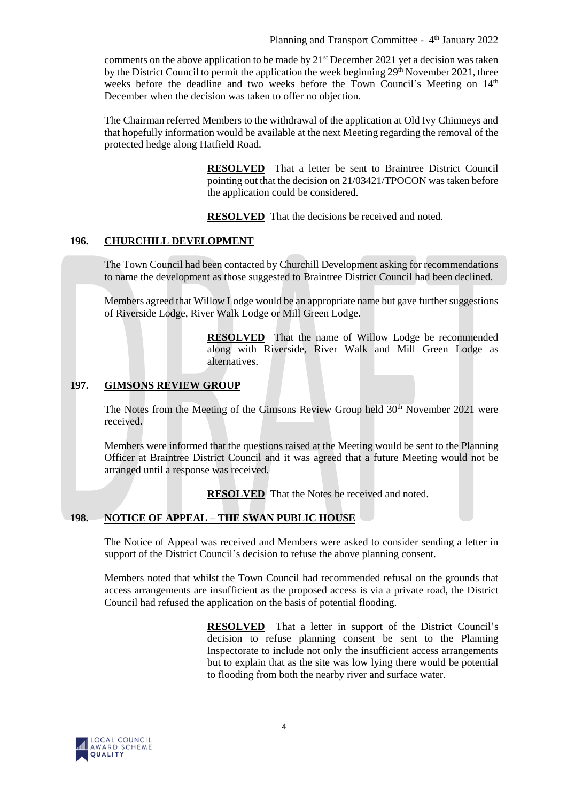comments on the above application to be made by  $21<sup>st</sup>$  December 2021 yet a decision was taken by the District Council to permit the application the week beginning  $29<sup>th</sup>$  November 2021, three weeks before the deadline and two weeks before the Town Council's Meeting on 14<sup>th</sup> December when the decision was taken to offer no objection.

The Chairman referred Members to the withdrawal of the application at Old Ivy Chimneys and that hopefully information would be available at the next Meeting regarding the removal of the protected hedge along Hatfield Road.

> **RESOLVED** That a letter be sent to Braintree District Council pointing out that the decision on 21/03421/TPOCON was taken before the application could be considered.

**RESOLVED** That the decisions be received and noted.

#### **196. CHURCHILL DEVELOPMENT**

The Town Council had been contacted by Churchill Development asking for recommendations to name the development as those suggested to Braintree District Council had been declined.

Members agreed that Willow Lodge would be an appropriate name but gave further suggestions of Riverside Lodge, River Walk Lodge or Mill Green Lodge.

> **RESOLVED** That the name of Willow Lodge be recommended along with Riverside, River Walk and Mill Green Lodge as alternatives.

#### **197. GIMSONS REVIEW GROUP**

The Notes from the Meeting of the Gimsons Review Group held 30<sup>th</sup> November 2021 were received.

Members were informed that the questions raised at the Meeting would be sent to the Planning Officer at Braintree District Council and it was agreed that a future Meeting would not be arranged until a response was received.

**RESOLVED** That the Notes be received and noted.

## **198. NOTICE OF APPEAL – THE SWAN PUBLIC HOUSE**

The Notice of Appeal was received and Members were asked to consider sending a letter in support of the District Council's decision to refuse the above planning consent.

Members noted that whilst the Town Council had recommended refusal on the grounds that access arrangements are insufficient as the proposed access is via a private road, the District Council had refused the application on the basis of potential flooding.

> **RESOLVED** That a letter in support of the District Council's decision to refuse planning consent be sent to the Planning Inspectorate to include not only the insufficient access arrangements but to explain that as the site was low lying there would be potential to flooding from both the nearby river and surface water.